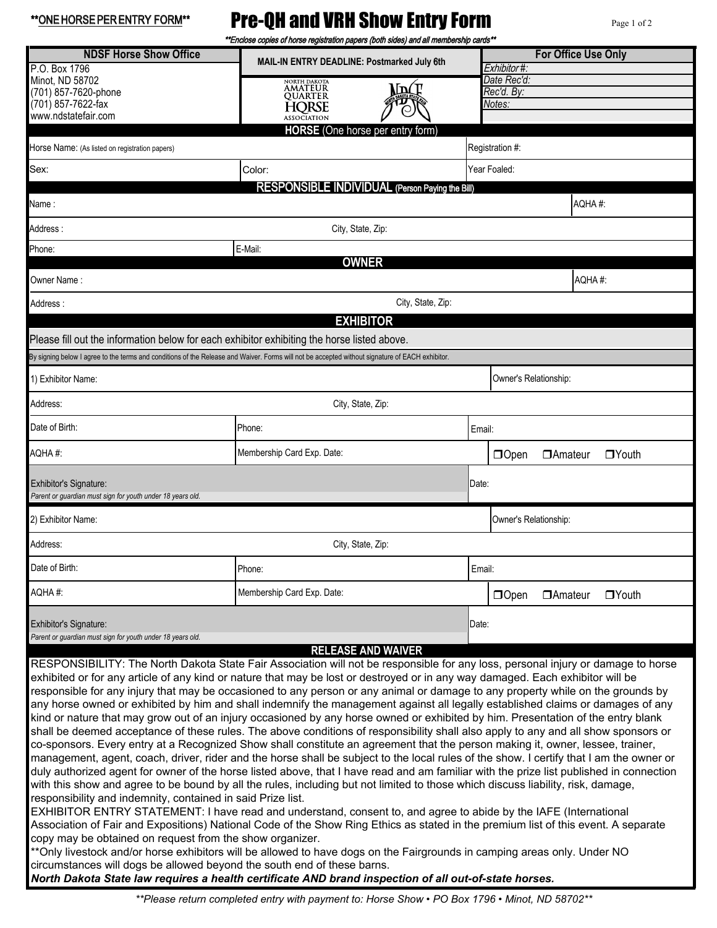| **ONE HORSE PER ENTRY FORM**                                                                                                                                                                       | <b>Pre-QH and VRH Show Entry Form</b><br>Page 1 of 2<br>**Enclose copies of horse registration papers (both sides) and all membership cards**                                                                                                                                                                                                                                                                                                                                                                                                                                                                                                                                                                                                                                                                                                                                                                                                                                                                                                                                                                                                                                                                                                                                                                                                                                                                                                                                                                                                                                                                                                                                                                                                                                                                                                                                  |                                     |                                  |  |  |
|----------------------------------------------------------------------------------------------------------------------------------------------------------------------------------------------------|--------------------------------------------------------------------------------------------------------------------------------------------------------------------------------------------------------------------------------------------------------------------------------------------------------------------------------------------------------------------------------------------------------------------------------------------------------------------------------------------------------------------------------------------------------------------------------------------------------------------------------------------------------------------------------------------------------------------------------------------------------------------------------------------------------------------------------------------------------------------------------------------------------------------------------------------------------------------------------------------------------------------------------------------------------------------------------------------------------------------------------------------------------------------------------------------------------------------------------------------------------------------------------------------------------------------------------------------------------------------------------------------------------------------------------------------------------------------------------------------------------------------------------------------------------------------------------------------------------------------------------------------------------------------------------------------------------------------------------------------------------------------------------------------------------------------------------------------------------------------------------|-------------------------------------|----------------------------------|--|--|
| <b>NDSF Horse Show Office</b><br>P.O. Box 1796                                                                                                                                                     | MAIL-IN ENTRY DEADLINE: Postmarked July 6th                                                                                                                                                                                                                                                                                                                                                                                                                                                                                                                                                                                                                                                                                                                                                                                                                                                                                                                                                                                                                                                                                                                                                                                                                                                                                                                                                                                                                                                                                                                                                                                                                                                                                                                                                                                                                                    | Exhibitor#:                         | <b>For Office Use Only</b>       |  |  |
| Minot, ND 58702<br>(701) 857-7620-phone<br>(701) 857-7622-fax<br>www.ndstatefair.com                                                                                                               | NORTH DAKOTA<br><b>AMATEUR</b><br>MACT<br>OUARTER<br><b>HORSE</b><br><b>ASSOCIATION</b>                                                                                                                                                                                                                                                                                                                                                                                                                                                                                                                                                                                                                                                                                                                                                                                                                                                                                                                                                                                                                                                                                                                                                                                                                                                                                                                                                                                                                                                                                                                                                                                                                                                                                                                                                                                        | Date Rec'd:<br>Rec'd. By:<br>Notes: |                                  |  |  |
|                                                                                                                                                                                                    | <b>HORSE</b> (One horse per entry form)                                                                                                                                                                                                                                                                                                                                                                                                                                                                                                                                                                                                                                                                                                                                                                                                                                                                                                                                                                                                                                                                                                                                                                                                                                                                                                                                                                                                                                                                                                                                                                                                                                                                                                                                                                                                                                        |                                     |                                  |  |  |
| Horse Name: (As listed on registration papers)                                                                                                                                                     |                                                                                                                                                                                                                                                                                                                                                                                                                                                                                                                                                                                                                                                                                                                                                                                                                                                                                                                                                                                                                                                                                                                                                                                                                                                                                                                                                                                                                                                                                                                                                                                                                                                                                                                                                                                                                                                                                | Registration #:                     |                                  |  |  |
| Sex:                                                                                                                                                                                               | Color:<br><b>RESPONSIBLE INDIVIDUAL (Person Paying the Bill)</b>                                                                                                                                                                                                                                                                                                                                                                                                                                                                                                                                                                                                                                                                                                                                                                                                                                                                                                                                                                                                                                                                                                                                                                                                                                                                                                                                                                                                                                                                                                                                                                                                                                                                                                                                                                                                               | Year Foaled:                        |                                  |  |  |
| Name :                                                                                                                                                                                             |                                                                                                                                                                                                                                                                                                                                                                                                                                                                                                                                                                                                                                                                                                                                                                                                                                                                                                                                                                                                                                                                                                                                                                                                                                                                                                                                                                                                                                                                                                                                                                                                                                                                                                                                                                                                                                                                                |                                     | AQHA#:                           |  |  |
| Address :                                                                                                                                                                                          | City, State, Zip:                                                                                                                                                                                                                                                                                                                                                                                                                                                                                                                                                                                                                                                                                                                                                                                                                                                                                                                                                                                                                                                                                                                                                                                                                                                                                                                                                                                                                                                                                                                                                                                                                                                                                                                                                                                                                                                              |                                     |                                  |  |  |
| Phone:                                                                                                                                                                                             | E-Mail:<br><b>OWNER</b>                                                                                                                                                                                                                                                                                                                                                                                                                                                                                                                                                                                                                                                                                                                                                                                                                                                                                                                                                                                                                                                                                                                                                                                                                                                                                                                                                                                                                                                                                                                                                                                                                                                                                                                                                                                                                                                        |                                     |                                  |  |  |
| Owner Name:                                                                                                                                                                                        |                                                                                                                                                                                                                                                                                                                                                                                                                                                                                                                                                                                                                                                                                                                                                                                                                                                                                                                                                                                                                                                                                                                                                                                                                                                                                                                                                                                                                                                                                                                                                                                                                                                                                                                                                                                                                                                                                |                                     | AQHA#:                           |  |  |
| Address :                                                                                                                                                                                          | City, State, Zip:                                                                                                                                                                                                                                                                                                                                                                                                                                                                                                                                                                                                                                                                                                                                                                                                                                                                                                                                                                                                                                                                                                                                                                                                                                                                                                                                                                                                                                                                                                                                                                                                                                                                                                                                                                                                                                                              |                                     |                                  |  |  |
|                                                                                                                                                                                                    | <b>EXHIBITOR</b>                                                                                                                                                                                                                                                                                                                                                                                                                                                                                                                                                                                                                                                                                                                                                                                                                                                                                                                                                                                                                                                                                                                                                                                                                                                                                                                                                                                                                                                                                                                                                                                                                                                                                                                                                                                                                                                               |                                     |                                  |  |  |
| Please fill out the information below for each exhibitor exhibiting the horse listed above.                                                                                                        | By signing below I agree to the terms and conditions of the Release and Waiver. Forms will not be accepted without signature of EACH exhibitor.                                                                                                                                                                                                                                                                                                                                                                                                                                                                                                                                                                                                                                                                                                                                                                                                                                                                                                                                                                                                                                                                                                                                                                                                                                                                                                                                                                                                                                                                                                                                                                                                                                                                                                                                |                                     |                                  |  |  |
| 1) Exhibitor Name:                                                                                                                                                                                 |                                                                                                                                                                                                                                                                                                                                                                                                                                                                                                                                                                                                                                                                                                                                                                                                                                                                                                                                                                                                                                                                                                                                                                                                                                                                                                                                                                                                                                                                                                                                                                                                                                                                                                                                                                                                                                                                                | Owner's Relationship:               |                                  |  |  |
| Address:                                                                                                                                                                                           | City, State, Zip:                                                                                                                                                                                                                                                                                                                                                                                                                                                                                                                                                                                                                                                                                                                                                                                                                                                                                                                                                                                                                                                                                                                                                                                                                                                                                                                                                                                                                                                                                                                                                                                                                                                                                                                                                                                                                                                              |                                     |                                  |  |  |
| Date of Birth:                                                                                                                                                                                     | Phone:                                                                                                                                                                                                                                                                                                                                                                                                                                                                                                                                                                                                                                                                                                                                                                                                                                                                                                                                                                                                                                                                                                                                                                                                                                                                                                                                                                                                                                                                                                                                                                                                                                                                                                                                                                                                                                                                         | Email:                              |                                  |  |  |
| AQHA#:                                                                                                                                                                                             | Membership Card Exp. Date:                                                                                                                                                                                                                                                                                                                                                                                                                                                                                                                                                                                                                                                                                                                                                                                                                                                                                                                                                                                                                                                                                                                                                                                                                                                                                                                                                                                                                                                                                                                                                                                                                                                                                                                                                                                                                                                     | <b>O</b> Open                       | $\Box$ Youth<br><b>DA</b> mateur |  |  |
| Exhibitor's Signature:<br>Date:<br>Parent or quardian must sign for youth under 18 years old.                                                                                                      |                                                                                                                                                                                                                                                                                                                                                                                                                                                                                                                                                                                                                                                                                                                                                                                                                                                                                                                                                                                                                                                                                                                                                                                                                                                                                                                                                                                                                                                                                                                                                                                                                                                                                                                                                                                                                                                                                |                                     |                                  |  |  |
| 2) Exhibitor Name:                                                                                                                                                                                 | Owner's Relationship:                                                                                                                                                                                                                                                                                                                                                                                                                                                                                                                                                                                                                                                                                                                                                                                                                                                                                                                                                                                                                                                                                                                                                                                                                                                                                                                                                                                                                                                                                                                                                                                                                                                                                                                                                                                                                                                          |                                     |                                  |  |  |
| Address:                                                                                                                                                                                           | City, State, Zip:                                                                                                                                                                                                                                                                                                                                                                                                                                                                                                                                                                                                                                                                                                                                                                                                                                                                                                                                                                                                                                                                                                                                                                                                                                                                                                                                                                                                                                                                                                                                                                                                                                                                                                                                                                                                                                                              |                                     |                                  |  |  |
| Date of Birth:                                                                                                                                                                                     | Phone:                                                                                                                                                                                                                                                                                                                                                                                                                                                                                                                                                                                                                                                                                                                                                                                                                                                                                                                                                                                                                                                                                                                                                                                                                                                                                                                                                                                                                                                                                                                                                                                                                                                                                                                                                                                                                                                                         | Email:                              |                                  |  |  |
| AQHA#:                                                                                                                                                                                             | Membership Card Exp. Date:                                                                                                                                                                                                                                                                                                                                                                                                                                                                                                                                                                                                                                                                                                                                                                                                                                                                                                                                                                                                                                                                                                                                                                                                                                                                                                                                                                                                                                                                                                                                                                                                                                                                                                                                                                                                                                                     | $\Box$ Open                         | $\Box$ Youth<br><b>DAmateur</b>  |  |  |
| Exhibitor's Signature:                                                                                                                                                                             |                                                                                                                                                                                                                                                                                                                                                                                                                                                                                                                                                                                                                                                                                                                                                                                                                                                                                                                                                                                                                                                                                                                                                                                                                                                                                                                                                                                                                                                                                                                                                                                                                                                                                                                                                                                                                                                                                | Date:                               |                                  |  |  |
| Parent or guardian must sign for youth under 18 years old.                                                                                                                                         | <b>RELEASE AND WAIVER</b>                                                                                                                                                                                                                                                                                                                                                                                                                                                                                                                                                                                                                                                                                                                                                                                                                                                                                                                                                                                                                                                                                                                                                                                                                                                                                                                                                                                                                                                                                                                                                                                                                                                                                                                                                                                                                                                      |                                     |                                  |  |  |
| responsibility and indemnity, contained in said Prize list.<br>copy may be obtained on request from the show organizer.<br>circumstances will dogs be allowed beyond the south end of these barns. | RESPONSIBILITY: The North Dakota State Fair Association will not be responsible for any loss, personal injury or damage to horse<br>exhibited or for any article of any kind or nature that may be lost or destroyed or in any way damaged. Each exhibitor will be<br>responsible for any injury that may be occasioned to any person or any animal or damage to any property while on the grounds by<br>any horse owned or exhibited by him and shall indemnify the management against all legally established claims or damages of any<br>kind or nature that may grow out of an injury occasioned by any horse owned or exhibited by him. Presentation of the entry blank<br>shall be deemed acceptance of these rules. The above conditions of responsibility shall also apply to any and all show sponsors or<br>co-sponsors. Every entry at a Recognized Show shall constitute an agreement that the person making it, owner, lessee, trainer,<br>management, agent, coach, driver, rider and the horse shall be subject to the local rules of the show. I certify that I am the owner or<br>duly authorized agent for owner of the horse listed above, that I have read and am familiar with the prize list published in connection<br>with this show and agree to be bound by all the rules, including but not limited to those which discuss liability, risk, damage,<br>EXHIBITOR ENTRY STATEMENT: I have read and understand, consent to, and agree to abide by the IAFE (International<br>Association of Fair and Expositions) National Code of the Show Ring Ethics as stated in the premium list of this event. A separate<br>** Only livestock and/or horse exhibitors will be allowed to have dogs on the Fairgrounds in camping areas only. Under NO<br>North Dakota State law requires a health certificate AND brand inspection of all out-of-state horses. |                                     |                                  |  |  |